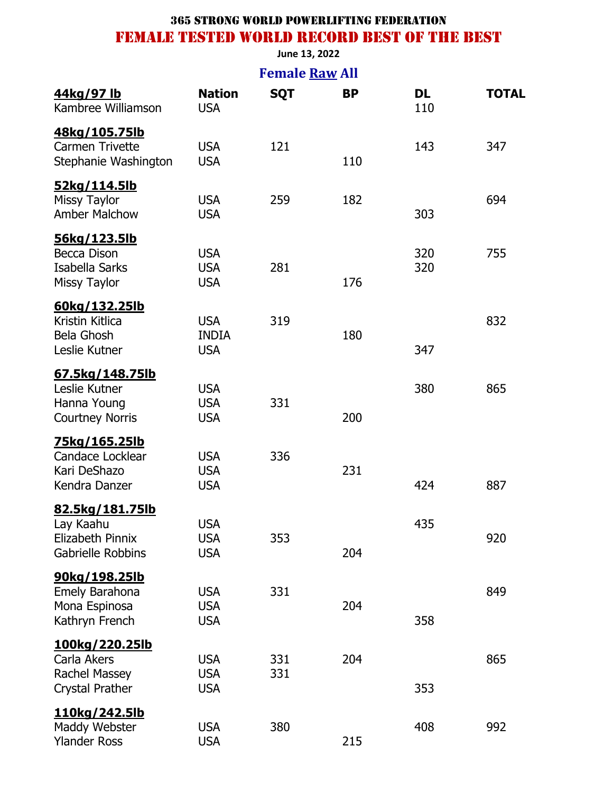#### **June 13, 2022**

| <b>Female Raw All</b>                                                                  |                                          |            |           |            |              |  |
|----------------------------------------------------------------------------------------|------------------------------------------|------------|-----------|------------|--------------|--|
| <u>44kg/97 lb</u><br>Kambree Williamson                                                | <b>Nation</b><br><b>USA</b>              | <b>SQT</b> | <b>BP</b> | DL<br>110  | <b>TOTAL</b> |  |
| 48kg/105.75lb<br><b>Carmen Trivette</b><br>Stephanie Washington                        | <b>USA</b><br><b>USA</b>                 | 121        | 110       | 143        | 347          |  |
| <u>52kg/114.5lb</u><br><b>Missy Taylor</b><br><b>Amber Malchow</b>                     | <b>USA</b><br><b>USA</b>                 | 259        | 182       | 303        | 694          |  |
| <u>56kg/123.5lb</u><br>Becca Dison<br>Isabella Sarks<br><b>Missy Taylor</b>            | <b>USA</b><br><b>USA</b><br><b>USA</b>   | 281        | 176       | 320<br>320 | 755          |  |
| 60kg/132.25lb<br>Kristin Kitlica<br><b>Bela Ghosh</b><br>Leslie Kutner                 | <b>USA</b><br><b>INDIA</b><br><b>USA</b> | 319        | 180       | 347        | 832          |  |
| 67.5kg/148.75lb<br>Leslie Kutner<br>Hanna Young<br><b>Courtney Norris</b>              | <b>USA</b><br><b>USA</b><br><b>USA</b>   | 331        | 200       | 380        | 865          |  |
| <u>75kg/165.25lb</u><br><b>Candace Locklear</b><br>Kari DeShazo<br>Kendra Danzer       | <b>USA</b><br><b>USA</b><br><b>USA</b>   | 336        | 231       | 424        | 887          |  |
| <u>82.5kg/181.75lb</u><br>Lay Kaahu<br>Elizabeth Pinnix<br><b>Gabrielle Robbins</b>    | <b>USA</b><br><b>USA</b><br><b>USA</b>   | 353        | 204       | 435        | 920          |  |
| 90kg/198.25lb<br>Emely Barahona<br>Mona Espinosa<br>Kathryn French                     | <b>USA</b><br><b>USA</b><br><b>USA</b>   | 331        | 204       | 358        | 849          |  |
| <u>100kg/220.25lb</u><br>Carla Akers<br><b>Rachel Massey</b><br><b>Crystal Prather</b> | <b>USA</b><br><b>USA</b><br><b>USA</b>   | 331<br>331 | 204       | 353        | 865          |  |
| <u>110kg/242.5lb</u><br>Maddy Webster<br><b>Ylander Ross</b>                           | <b>USA</b><br><b>USA</b>                 | 380        | 215       | 408        | 992          |  |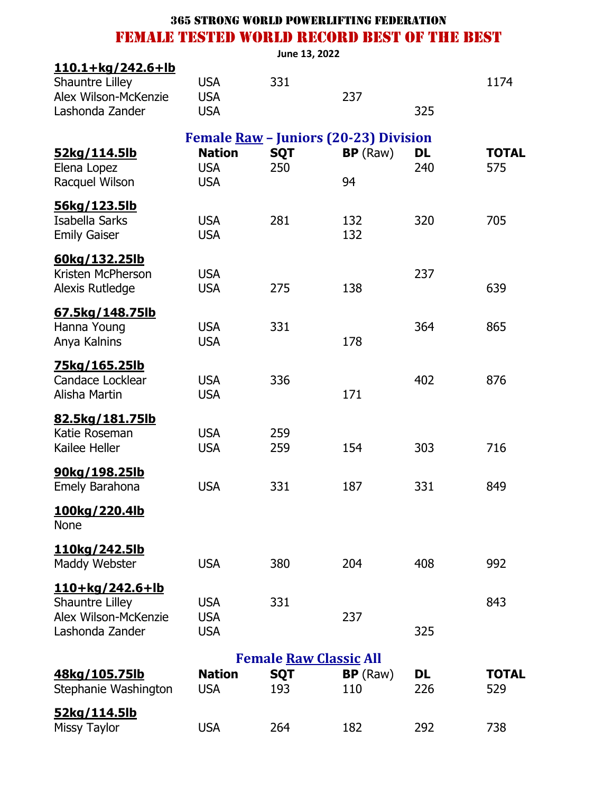|                          |               | June 13, 2022 |                                       |           |              |
|--------------------------|---------------|---------------|---------------------------------------|-----------|--------------|
| <u>110.1+kg/242.6+lb</u> |               |               |                                       |           |              |
| Shauntre Lilley          | <b>USA</b>    | 331           |                                       |           | 1174         |
| Alex Wilson-McKenzie     | <b>USA</b>    |               | 237                                   |           |              |
| Lashonda Zander          | <b>USA</b>    |               |                                       | 325       |              |
|                          |               |               | Female Raw - Juniors (20-23) Division |           |              |
| 52kg/114.5lb             | <b>Nation</b> | <b>SQT</b>    | BP(Raw)                               | <b>DL</b> | <b>TOTAL</b> |
| Elena Lopez              | <b>USA</b>    | 250           |                                       | 240       | 575          |
| Racquel Wilson           | <b>USA</b>    |               | 94                                    |           |              |
| <u>56kg/123.5lb</u>      |               |               |                                       |           |              |
| Isabella Sarks           | <b>USA</b>    | 281           | 132                                   | 320       | 705          |
| <b>Emily Gaiser</b>      | <b>USA</b>    |               | 132                                   |           |              |
| 60kg/132.25lb            |               |               |                                       |           |              |
| Kristen McPherson        | <b>USA</b>    |               |                                       | 237       |              |
| Alexis Rutledge          | <b>USA</b>    | 275           | 138                                   |           | 639          |
| 67.5kg/148.75lb          |               |               |                                       |           |              |
| Hanna Young              | <b>USA</b>    | 331           |                                       | 364       | 865          |
| Anya Kalnins             | <b>USA</b>    |               | 178                                   |           |              |
| <u>75kg/165.25lb</u>     |               |               |                                       |           |              |
| Candace Locklear         | <b>USA</b>    | 336           |                                       | 402       | 876          |
| Alisha Martin            | <b>USA</b>    |               | 171                                   |           |              |
| 82.5kg/181.75lb          |               |               |                                       |           |              |
| Katie Roseman            | <b>USA</b>    | 259           |                                       |           |              |
| Kailee Heller            | <b>USA</b>    | 259           | 154                                   | 303       | 716          |
| <u>90kg/198.25lb</u>     |               |               |                                       |           |              |
| <b>Emely Barahona</b>    | <b>USA</b>    | 331           | 187                                   | 331       | 849          |
| <u>100kg/220.4lb</u>     |               |               |                                       |           |              |
| <b>None</b>              |               |               |                                       |           |              |
| 110kg/242.5lb            |               |               |                                       |           |              |
| Maddy Webster            | <b>USA</b>    | 380           | 204                                   | 408       | 992          |
| 110+kg/242.6+lb          |               |               |                                       |           |              |
| <b>Shauntre Lilley</b>   | <b>USA</b>    | 331           |                                       |           | 843          |
| Alex Wilson-McKenzie     | <b>USA</b>    |               | 237                                   |           |              |
| Lashonda Zander          | <b>USA</b>    |               |                                       | 325       |              |
|                          |               |               | <b>Female Raw Classic All</b>         |           |              |
| 48kg/105.75lb            | <b>Nation</b> | <b>SQT</b>    | BP(Raw)                               | <b>DL</b> | <b>TOTAL</b> |
| Stephanie Washington     | <b>USA</b>    | 193           | 110                                   | 226       | 529          |
| <u>52kg/114.5lb</u>      |               |               |                                       |           |              |
| <b>Missy Taylor</b>      | <b>USA</b>    | 264           | 182                                   | 292       | 738          |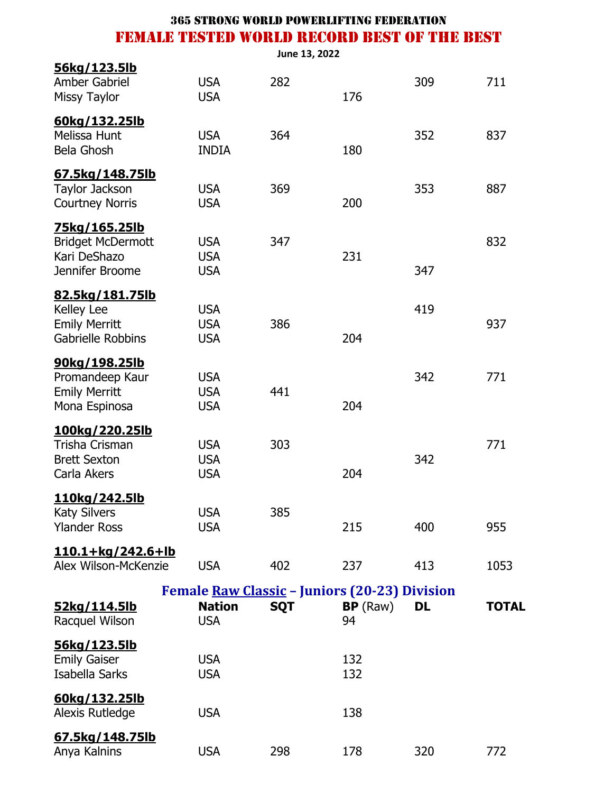|                                                                                   |                                                                              | June 13, 2022 |                |     |              |
|-----------------------------------------------------------------------------------|------------------------------------------------------------------------------|---------------|----------------|-----|--------------|
| 56kg/123.5lb<br>Amber Gabriel<br><b>Missy Taylor</b>                              | <b>USA</b><br><b>USA</b>                                                     | 282           | 176            | 309 | 711          |
| 60kg/132.25lb<br>Melissa Hunt<br><b>Bela Ghosh</b>                                | <b>USA</b><br><b>INDIA</b>                                                   | 364           | 180            | 352 | 837          |
| <u>67.5kg/148.75lb</u><br>Taylor Jackson<br><b>Courtney Norris</b>                | <b>USA</b><br><b>USA</b>                                                     | 369           | 200            | 353 | 887          |
| 75kg/165.25lb<br><b>Bridget McDermott</b><br>Kari DeShazo<br>Jennifer Broome      | <b>USA</b><br><b>USA</b><br><b>USA</b>                                       | 347           | 231            | 347 | 832          |
| 82.5kg/181.75lb<br><b>Kelley Lee</b><br><b>Emily Merritt</b><br>Gabrielle Robbins | <b>USA</b><br><b>USA</b><br><b>USA</b>                                       | 386           | 204            | 419 | 937          |
| <u>90kg/198.25lb</u><br>Promandeep Kaur<br><b>Emily Merritt</b><br>Mona Espinosa  | <b>USA</b><br><b>USA</b><br><b>USA</b>                                       | 441           | 204            | 342 | 771          |
| <u>100kg/220.25lb</u><br>Trisha Crisman<br><b>Brett Sexton</b><br>Carla Akers     | <b>USA</b><br><b>USA</b><br><b>USA</b>                                       | 303           | 204            | 342 | 771          |
| 110kg/242.5lb<br><b>Katy Silvers</b><br><b>Ylander Ross</b>                       | <b>USA</b><br><b>USA</b>                                                     | 385           | 215            | 400 | 955          |
| <u>110.1+kg/242.6+lb</u><br>Alex Wilson-McKenzie                                  | <b>USA</b>                                                                   | 402           | 237            | 413 | 1053         |
| 52kg/114.5lb<br>Racquel Wilson                                                    | Female Raw Classic - Juniors (20-23) Division<br><b>Nation</b><br><b>USA</b> | <b>SQT</b>    | BP (Raw)<br>94 | DL  | <b>TOTAL</b> |
| <u>56kg/123.5lb</u><br><b>Emily Gaiser</b><br>Isabella Sarks                      | <b>USA</b><br><b>USA</b>                                                     |               | 132<br>132     |     |              |
| 60kg/132.25lb<br>Alexis Rutledge                                                  | <b>USA</b>                                                                   |               | 138            |     |              |
| 67.5kg/148.75lb<br>Anya Kalnins                                                   | <b>USA</b>                                                                   | 298           | 178            | 320 | 772          |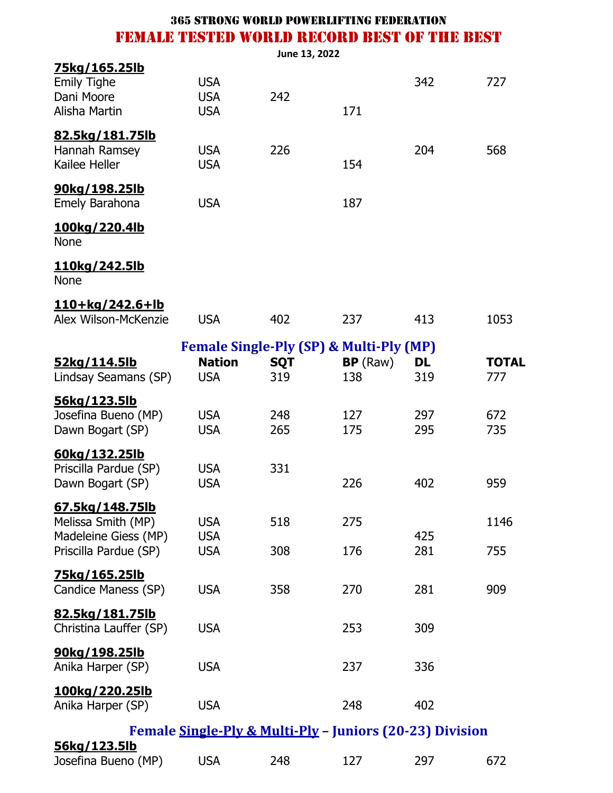|                                                                                        |                                        | June 13, 2022     |                                                                      |                  |                     |
|----------------------------------------------------------------------------------------|----------------------------------------|-------------------|----------------------------------------------------------------------|------------------|---------------------|
| 75kg/165.25lb<br><b>Emily Tighe</b><br>Dani Moore<br>Alisha Martin                     | <b>USA</b><br><b>USA</b><br><b>USA</b> | 242               | 171                                                                  | 342              | 727                 |
| <u>82.5kg/181.75lb</u><br>Hannah Ramsey<br>Kailee Heller                               | <b>USA</b><br><b>USA</b>               | 226               | 154                                                                  | 204              | 568                 |
| 90kg/198.25lb<br>Emely Barahona                                                        | <b>USA</b>                             |                   | 187                                                                  |                  |                     |
| 100kg/220.4lb<br><b>None</b>                                                           |                                        |                   |                                                                      |                  |                     |
| 110kg/242.5lb<br><b>None</b>                                                           |                                        |                   |                                                                      |                  |                     |
| <u>110+kg/242.6+lb</u><br>Alex Wilson-McKenzie                                         | <b>USA</b>                             | 402               | 237                                                                  | 413              | 1053                |
| <u>52kg/114.5lb</u><br>Lindsay Seamans (SP)                                            | <b>Nation</b><br><b>USA</b>            | <b>SQT</b><br>319 | <b>Female Single-Ply (SP) &amp; Multi-Ply (MP)</b><br>BP(Raw)<br>138 | <b>DL</b><br>319 | <b>TOTAL</b><br>777 |
| 56kg/123.5lb<br>Josefina Bueno (MP)<br>Dawn Bogart (SP)                                | <b>USA</b><br><b>USA</b>               | 248<br>265        | 127<br>175                                                           | 297<br>295       | 672<br>735          |
| 60kg/132.25lb<br>Priscilla Pardue (SP)<br>Dawn Bogart (SP)                             | <b>USA</b><br><b>USA</b>               | 331               | 226                                                                  | 402              | 959                 |
| 67.5kg/148.75lb<br>Melissa Smith (MP)<br>Madeleine Giess (MP)<br>Priscilla Pardue (SP) | <b>USA</b><br><b>USA</b><br><b>USA</b> | 518<br>308        | 275<br>176                                                           | 425<br>281       | 1146<br>755         |
| <u>75kg/165.25lb</u><br>Candice Maness (SP)                                            | <b>USA</b>                             | 358               | 270                                                                  | 281              | 909                 |
| 82.5kg/181.75lb<br>Christina Lauffer (SP)                                              | <b>USA</b>                             |                   | 253                                                                  | 309              |                     |
| <u>90kg/198.25lb</u><br>Anika Harper (SP)                                              | <b>USA</b>                             |                   | 237                                                                  | 336              |                     |
| 100kg/220.25lb<br>Anika Harper (SP)                                                    | <b>USA</b>                             |                   | 248                                                                  | 402              |                     |
|                                                                                        |                                        |                   | Female Single-Ply & Multi-Ply - Juniors (20-23) Division             |                  |                     |
| <u>56kg/123.5lb</u><br>Josefina Bueno (MP)                                             | <b>USA</b>                             | 248               | 127                                                                  | 297              | 672                 |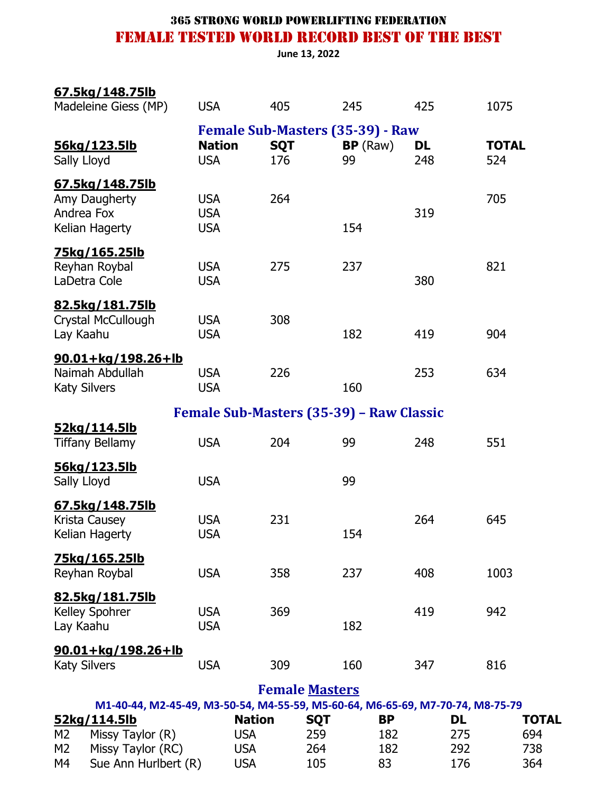**June 13, 2022**

| 67.5kg/148.75lb<br>Madeleine Giess (MP)                                        | <b>USA</b>                             | 405                                                          |                       | 245       | 425              | 1075                |              |
|--------------------------------------------------------------------------------|----------------------------------------|--------------------------------------------------------------|-----------------------|-----------|------------------|---------------------|--------------|
| 56kg/123.5lb<br>Sally Lloyd                                                    | <b>Nation</b><br><b>USA</b>            | <b>Female Sub-Masters (35-39) - Raw</b><br><b>SQT</b><br>176 | 99                    | BP(Raw)   | <b>DL</b><br>248 | <b>TOTAL</b><br>524 |              |
| 67.5kg/148.75lb<br>Amy Daugherty<br>Andrea Fox<br>Kelian Hagerty               | <b>USA</b><br><b>USA</b><br><b>USA</b> | 264                                                          |                       | 154       | 319              | 705                 |              |
| 75kg/165.25lb<br>Reyhan Roybal<br>LaDetra Cole                                 | <b>USA</b><br><b>USA</b>               | 275                                                          |                       | 237       | 380              | 821                 |              |
| 82.5kg/181.75lb<br>Crystal McCullough<br>Lay Kaahu                             | <b>USA</b><br><b>USA</b>               | 308                                                          |                       | 182       | 419              | 904                 |              |
| $90.01 + kg/198.26 + lb$<br>Naimah Abdullah<br><b>Katy Silvers</b>             | <b>USA</b><br><b>USA</b>               | 226                                                          |                       | 160       | 253              | 634                 |              |
|                                                                                |                                        | Female Sub-Masters (35-39) - Raw Classic                     |                       |           |                  |                     |              |
| 52kg/114.5lb<br><b>Tiffany Bellamy</b>                                         | <b>USA</b>                             | 204                                                          | 99                    |           | 248              | 551                 |              |
| 56kg/123.5lb<br>Sally Lloyd                                                    | <b>USA</b>                             |                                                              | 99                    |           |                  |                     |              |
| 67.5kg/148.75lb<br>Krista Causey<br>Kelian Hagerty                             | <b>USA</b><br><b>USA</b>               | 231                                                          |                       | 154       | 264              | 645                 |              |
| 75kg/165.25lb<br>Reyhan Roybal                                                 | <b>USA</b>                             | 358                                                          |                       | 237       | 408              | 1003                |              |
| 82.5kg/181.75lb<br>Kelley Spohrer<br>Lay Kaahu                                 | <b>USA</b><br><b>USA</b>               | 369                                                          |                       | 182       | 419              | 942                 |              |
| 90.01+kg/198.26+lb<br><b>Katy Silvers</b>                                      | <b>USA</b>                             | 309                                                          |                       | 160       | 347              | 816                 |              |
|                                                                                |                                        |                                                              | <b>Female Masters</b> |           |                  |                     |              |
| M1-40-44, M2-45-49, M3-50-54, M4-55-59, M5-60-64, M6-65-69, M7-70-74, M8-75-79 |                                        |                                                              |                       |           |                  |                     |              |
| 52kg/114.5lb                                                                   |                                        | <b>Nation</b>                                                | <b>SQT</b>            | <b>BP</b> |                  | <b>DL</b>           | <b>TOTAL</b> |
| M <sub>2</sub><br>Missy Taylor (R)                                             |                                        | <b>USA</b>                                                   | 259                   | 182       |                  | 275                 | 694          |
| M2<br>Missy Taylor (RC)<br>Sue Ann Hurlbert (R)<br>M4                          |                                        | <b>USA</b><br><b>USA</b>                                     | 264<br>105            | 182<br>83 |                  | 292<br>176          | 738<br>364   |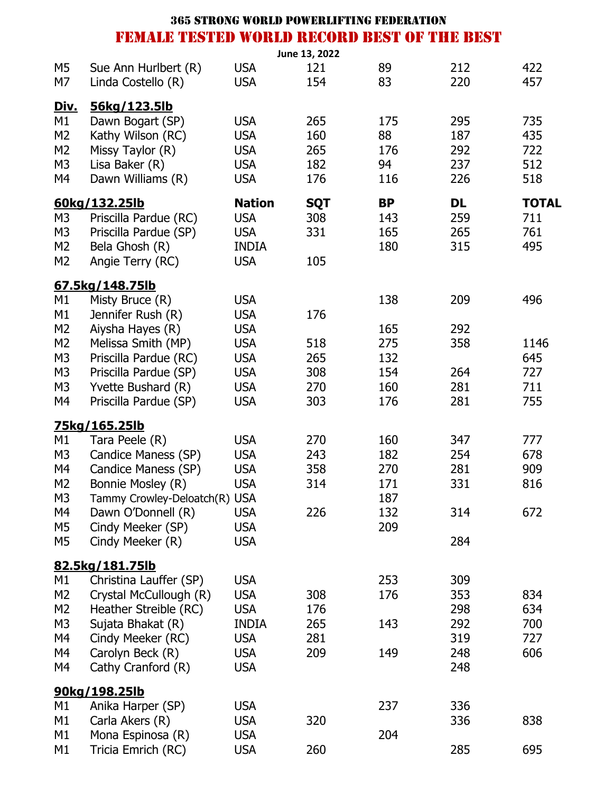| FEMALE TESTED WORLD RECORD BEST OF THE BEST |                                                                                                                                                                     |
|---------------------------------------------|---------------------------------------------------------------------------------------------------------------------------------------------------------------------|
|                                             |                                                                                                                                                                     |
| 212                                         | 422                                                                                                                                                                 |
| 220                                         | 457                                                                                                                                                                 |
|                                             |                                                                                                                                                                     |
| 295                                         | 735                                                                                                                                                                 |
| 187                                         | 435                                                                                                                                                                 |
| 292                                         | 722                                                                                                                                                                 |
| 237                                         | 512                                                                                                                                                                 |
| 226                                         | 518                                                                                                                                                                 |
|                                             | <b>TOTAL</b>                                                                                                                                                        |
|                                             | 711                                                                                                                                                                 |
|                                             | 761                                                                                                                                                                 |
|                                             | 495                                                                                                                                                                 |
|                                             |                                                                                                                                                                     |
|                                             |                                                                                                                                                                     |
|                                             | 496                                                                                                                                                                 |
|                                             |                                                                                                                                                                     |
|                                             |                                                                                                                                                                     |
|                                             | 1146                                                                                                                                                                |
|                                             | 645                                                                                                                                                                 |
|                                             | 727                                                                                                                                                                 |
|                                             | 711                                                                                                                                                                 |
| 281                                         | 755                                                                                                                                                                 |
|                                             |                                                                                                                                                                     |
|                                             | 777                                                                                                                                                                 |
|                                             | 678                                                                                                                                                                 |
|                                             | 909                                                                                                                                                                 |
|                                             | 816                                                                                                                                                                 |
|                                             |                                                                                                                                                                     |
|                                             | 672                                                                                                                                                                 |
|                                             |                                                                                                                                                                     |
| 284                                         |                                                                                                                                                                     |
|                                             |                                                                                                                                                                     |
|                                             |                                                                                                                                                                     |
|                                             | 834                                                                                                                                                                 |
|                                             | 634                                                                                                                                                                 |
|                                             | 700                                                                                                                                                                 |
|                                             | 727                                                                                                                                                                 |
|                                             | 606                                                                                                                                                                 |
| 248                                         |                                                                                                                                                                     |
|                                             |                                                                                                                                                                     |
|                                             |                                                                                                                                                                     |
|                                             | 838                                                                                                                                                                 |
|                                             |                                                                                                                                                                     |
|                                             | 695                                                                                                                                                                 |
|                                             | <b>DL</b><br>259<br>265<br>315<br>209<br>292<br>358<br>264<br>281<br>347<br>254<br>281<br>331<br>314<br>309<br>353<br>298<br>292<br>319<br>248<br>336<br>336<br>285 |

365 strong world powerlifting federation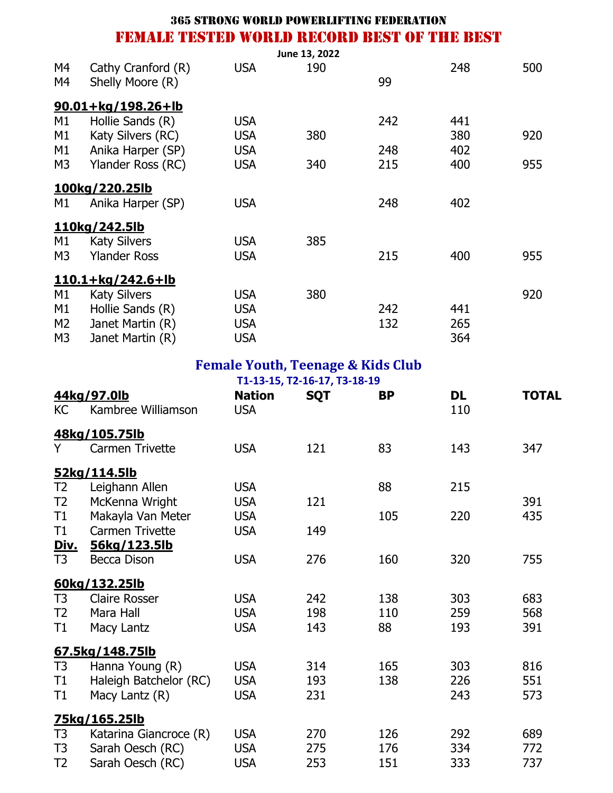|                |                                             |            |               | <b>365 STRONG WORLD POWERLIFTING FEDERATION</b> |     |     |
|----------------|---------------------------------------------|------------|---------------|-------------------------------------------------|-----|-----|
|                | FEMALE TESTED WORLD RECORD BEST OF THE BEST |            |               |                                                 |     |     |
|                |                                             |            | June 13, 2022 |                                                 |     |     |
| M4             | Cathy Cranford (R)                          | <b>USA</b> | 190           |                                                 | 248 | 500 |
| M4             | Shelly Moore (R)                            |            |               | 99                                              |     |     |
|                | $90.01 + kg/198.26 + lb$                    |            |               |                                                 |     |     |
| M1             | Hollie Sands (R)                            | <b>USA</b> |               | 242                                             | 441 |     |
| M1             | Katy Silvers (RC)                           | <b>USA</b> | 380           |                                                 | 380 | 920 |
| M1             | Anika Harper (SP)                           | <b>USA</b> |               | 248                                             | 402 |     |
| M3             | Ylander Ross (RC)                           | <b>USA</b> | 340           | 215                                             | 400 | 955 |
|                | 100kg/220.25lb                              |            |               |                                                 |     |     |
| M1             | Anika Harper (SP)                           | <b>USA</b> |               | 248                                             | 402 |     |
|                | 110kg/242.5lb                               |            |               |                                                 |     |     |
| M1             | <b>Katy Silvers</b>                         | <b>USA</b> | 385           |                                                 |     |     |
| M3             | <b>Ylander Ross</b>                         | <b>USA</b> |               | 215                                             | 400 | 955 |
|                | $110.1 + kg/242.6 + lb$                     |            |               |                                                 |     |     |
| M1             | <b>Katy Silvers</b>                         | <b>USA</b> | 380           |                                                 |     | 920 |
| M1             | Hollie Sands (R)                            | <b>USA</b> |               | 242                                             | 441 |     |
| M <sub>2</sub> | Janet Martin (R)                            | <b>USA</b> |               | 132                                             | 265 |     |
| M3             | Janet Martin (R)                            | <b>USA</b> |               |                                                 | 364 |     |

# **Female Youth, Teenage & Kids Club**

| T1-13-15, T2-16-17, T3-18-19  |                                   |                             |            |           |           |              |
|-------------------------------|-----------------------------------|-----------------------------|------------|-----------|-----------|--------------|
| <b>KC</b>                     | 44kg/97.0lb<br>Kambree Williamson | <b>Nation</b><br><b>USA</b> | <b>SQT</b> | <b>BP</b> | DL<br>110 | <b>TOTAL</b> |
|                               | 48kg/105.75lb                     |                             |            |           |           |              |
| Y.                            | Carmen Trivette                   | <b>USA</b>                  | 121        | 83        | 143       | 347          |
|                               | 52kg/114.5lb                      |                             |            |           |           |              |
| T <sub>2</sub>                | Leighann Allen                    | <b>USA</b>                  |            | 88        | 215       |              |
| T <sub>2</sub>                | McKenna Wright                    | <b>USA</b>                  | 121        |           |           | 391          |
| T1                            | Makayla Van Meter                 | <b>USA</b>                  |            | 105       | 220       | 435          |
| T1                            | <b>Carmen Trivette</b>            | <b>USA</b>                  | 149        |           |           |              |
| <u>Div.</u><br>T <sub>3</sub> | 56kg/123.5lb<br>Becca Dison       | <b>USA</b>                  | 276        | 160       | 320       | 755          |
|                               |                                   |                             |            |           |           |              |
|                               | 60kg/132.25lb                     |                             |            |           |           |              |
| T <sub>3</sub>                | <b>Claire Rosser</b>              | <b>USA</b>                  | 242        | 138       | 303       | 683          |
| T <sub>2</sub>                | Mara Hall                         | <b>USA</b>                  | 198        | 110       | 259       | 568          |
| T1                            | Macy Lantz                        | <b>USA</b>                  | 143        | 88        | 193       | 391          |
|                               | 67.5kg/148.75lb                   |                             |            |           |           |              |
| T3                            | Hanna Young (R)                   | <b>USA</b>                  | 314        | 165       | 303       | 816          |
| T1                            | Haleigh Batchelor (RC)            | <b>USA</b>                  | 193        | 138       | 226       | 551          |
| T1                            | Macy Lantz (R)                    | <b>USA</b>                  | 231        |           | 243       | 573          |
|                               | 75kg/165.25lb                     |                             |            |           |           |              |
| T <sub>3</sub>                | Katarina Giancroce (R)            | <b>USA</b>                  | 270        | 126       | 292       | 689          |
| T <sub>3</sub>                | Sarah Oesch (RC)                  | <b>USA</b>                  | 275        | 176       | 334       | 772          |
| T <sub>2</sub>                | Sarah Oesch (RC)                  | <b>USA</b>                  | 253        | 151       | 333       | 737          |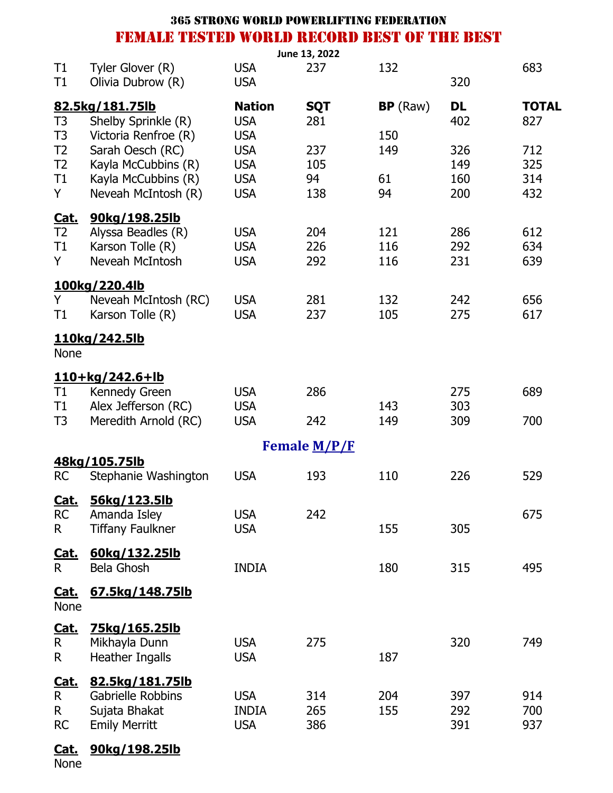|                   |                                       |                          | June 13, 2022 |            |            |              |
|-------------------|---------------------------------------|--------------------------|---------------|------------|------------|--------------|
| T1<br>T1          | Tyler Glover (R)<br>Olivia Dubrow (R) | <b>USA</b><br><b>USA</b> | 237           | 132        | 320        | 683          |
|                   | 82.5kg/181.75lb                       | <b>Nation</b>            | <b>SQT</b>    | BP(Raw)    | DL         | <b>TOTAL</b> |
| T <sub>3</sub>    | Shelby Sprinkle (R)                   | <b>USA</b>               | 281           |            | 402        | 827          |
| T <sub>3</sub>    | Victoria Renfroe (R)                  | <b>USA</b>               |               | 150        |            |              |
| T <sub>2</sub>    | Sarah Oesch (RC)                      | <b>USA</b>               | 237           | 149        | 326        | 712          |
| T <sub>2</sub>    | Kayla McCubbins (R)                   | <b>USA</b>               | 105           |            | 149        | 325          |
| T1                | Kayla McCubbins (R)                   | <b>USA</b>               | 94            | 61         | 160        | 314          |
| Y                 | Neveah McIntosh (R)                   | <b>USA</b>               | 138           | 94         | 200        | 432          |
|                   | 90kg/198.25lb                         |                          |               |            |            |              |
| <b>Cat.</b><br>T2 | Alyssa Beadles (R)                    | <b>USA</b>               | 204           | 121        | 286        | 612          |
| T1                | Karson Tolle (R)                      | <b>USA</b>               | 226           | 116        | 292        | 634          |
| Y                 | Neveah McIntosh                       | <b>USA</b>               | 292           | 116        | 231        | 639          |
|                   | 100kg/220.4lb                         |                          |               |            |            |              |
| Y.                | Neveah McIntosh (RC)                  | <b>USA</b>               | 281           | 132        | 242        | 656          |
| Τ1                | Karson Tolle (R)                      | <b>USA</b>               | 237           | 105        | 275        | 617          |
| <b>None</b>       | 110kg/242.5lb                         |                          |               |            |            |              |
|                   |                                       |                          |               |            |            |              |
|                   | 110+kg/242.6+lb                       |                          |               |            |            |              |
| T1                | Kennedy Green                         | <b>USA</b>               | 286           |            | 275        | 689          |
| Τ1<br>T3          | Alex Jefferson (RC)                   | <b>USA</b><br><b>USA</b> |               | 143<br>149 | 303<br>309 | 700          |
|                   | Meredith Arnold (RC)                  |                          | 242           |            |            |              |
|                   |                                       |                          | Female M/P/F  |            |            |              |
|                   | 48kg/105.75lb                         |                          |               |            |            |              |
| <b>RC</b>         | Stephanie Washington                  | <b>USA</b>               | 193           | 110        | 226        | 529          |
| <u>Cat.</u>       | 56kg/123.5lb                          |                          |               |            |            |              |
| <b>RC</b>         | Amanda Isley                          | <b>USA</b>               | 242           |            |            | 675          |
| R.                | <b>Tiffany Faulkner</b>               | <b>USA</b>               |               | 155        | 305        |              |
| <u>Cat.</u>       | 60kg/132.25lb                         |                          |               |            |            |              |
| $\mathsf{R}$      | Bela Ghosh                            | <b>INDIA</b>             |               | 180        | 315        | 495          |
| Cat.<br>None      | 67.5kg/148.75lb                       |                          |               |            |            |              |
| <u>Cat.</u>       | <u>75kg/165.25lb</u>                  |                          |               |            |            |              |
| $\mathsf R$       | Mikhayla Dunn                         | <b>USA</b>               | 275           |            | 320        | 749          |
| R                 | <b>Heather Ingalls</b>                | <b>USA</b>               |               | 187        |            |              |
| Cat.              | 82.5kg/181.75lb                       |                          |               |            |            |              |
| R                 | Gabrielle Robbins                     | <b>USA</b>               | 314           | 204        | 397        | 914          |
| R.                | Sujata Bhakat                         | <b>INDIA</b>             | 265           | 155        | 292        | 700          |
| <b>RC</b>         | <b>Emily Merritt</b>                  | <b>USA</b>               | 386           |            | 391        | 937          |
|                   |                                       |                          |               |            |            |              |

## **Cat. 90kg/198.25lb**

None